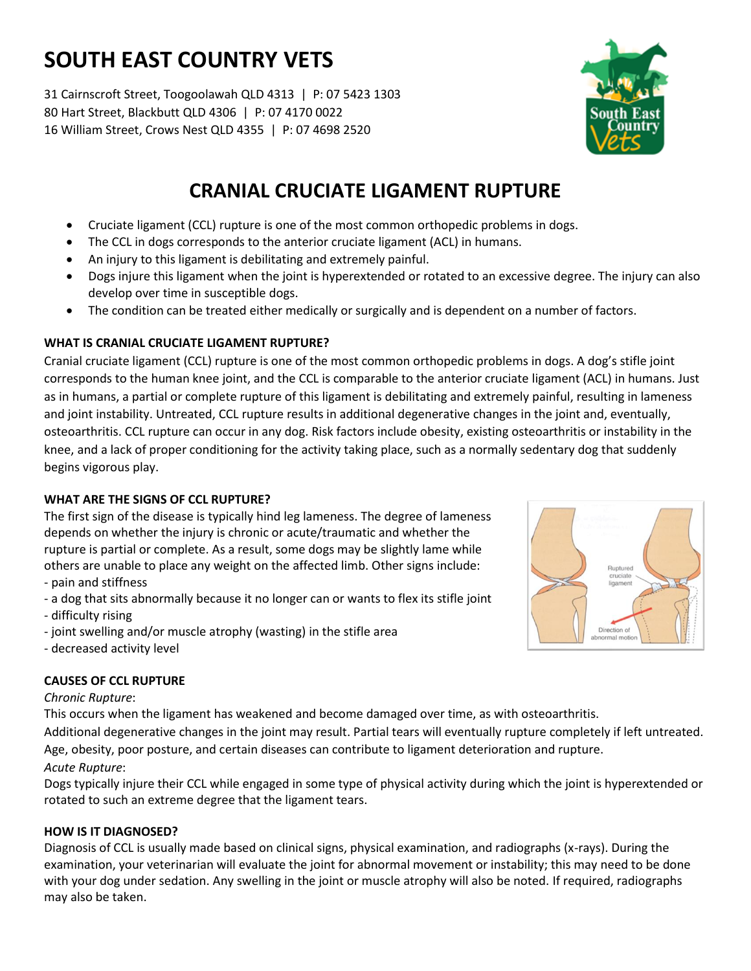# **SOUTH EAST COUNTRY VETS**

31 Cairnscroft Street, Toogoolawah QLD 4313 | P: 07 5423 1303 80 Hart Street, Blackbutt QLD 4306 | P: 07 4170 0022 16 William Street, Crows Nest QLD 4355 | P: 07 4698 2520



- Cruciate ligament (CCL) rupture is one of the most common orthopedic problems in dogs.
- The CCL in dogs corresponds to the anterior cruciate ligament (ACL) in humans.
- An injury to this ligament is debilitating and extremely painful.
- Dogs injure this ligament when the joint is hyperextended or rotated to an excessive degree. The injury can also develop over time in susceptible dogs.
- The condition can be treated either medically or surgically and is dependent on a number of factors.

# **WHAT IS CRANIAL CRUCIATE LIGAMENT RUPTURE?**

Cranial cruciate ligament (CCL) rupture is one of the most common orthopedic problems in dogs. A dog's stifle joint corresponds to the human knee joint, and the CCL is comparable to the anterior cruciate ligament (ACL) in humans. Just as in humans, a partial or complete rupture of this ligament is debilitating and extremely painful, resulting in lameness and joint instability. Untreated, CCL rupture results in additional degenerative changes in the joint and, eventually, osteoarthritis. CCL rupture can occur in any dog. Risk factors include obesity, existing osteoarthritis or instability in the knee, and a lack of proper conditioning for the activity taking place, such as a normally sedentary dog that suddenly begins vigorous play.

### **WHAT ARE THE SIGNS OF CCL RUPTURE?**

The first sign of the disease is typically hind leg lameness. The degree of lameness depends on whether the injury is chronic or acute/traumatic and whether the rupture is partial or complete. As a result, some dogs may be slightly lame while others are unable to place any weight on the affected limb. Other signs include: - pain and stiffness

- a dog that sits abnormally because it no longer can or wants to flex its stifle joint

- difficulty rising
- joint swelling and/or muscle atrophy (wasting) in the stifle area
- decreased activity level

# **CAUSES OF CCL RUPTURE**

### *Chronic Rupture*:

This occurs when the ligament has weakened and become damaged over time, as with osteoarthritis.

Additional degenerative changes in the joint may result. Partial tears will eventually rupture completely if left untreated. Age, obesity, poor posture, and certain diseases can contribute to ligament deterioration and rupture.

### *Acute Rupture*:

Dogs typically injure their CCL while engaged in some type of physical activity during which the joint is hyperextended or rotated to such an extreme degree that the ligament tears.

### **HOW IS IT DIAGNOSED?**

Diagnosis of CCL is usually made based on clinical signs, physical examination, and radiographs (x-rays). During the examination, your veterinarian will evaluate the joint for abnormal movement or instability; this may need to be done with your dog under sedation. Any swelling in the joint or muscle atrophy will also be noted. If required, radiographs may also be taken.